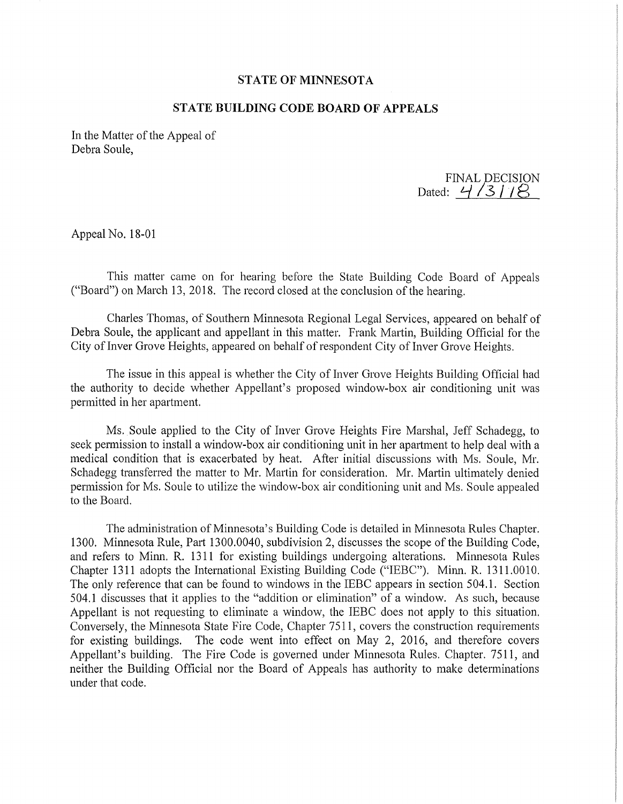## **STATE OF MINNESOTA**

## **STATE BUILDING CODE BOARD OF APPEALS**

In the Matter of the Appeal of Debra Soule,

FINAL DECISION<br>Dated: 4/3/18

Appeal No. 18-01

This matter came on for hearing before the State Building Code Board of Appeals ("Board") on March 13, 2018. The record closed at the conclusion of the hearing.

Charles Thomas, of Southern Minnesota Regional Legal Services, appeared on behalf of Debra Soule, the applicant and appellant in this matter. Frank Martin, Building Official for the City of Inver Grove Heights, appeared on behalf of respondent City of Inver Grove Heights.

The issue in this appeal is whether the City of Inver Grove Heights Building Official had the authority to decide whether Appellant's proposed window-box air conditioning unit was permitted in her apartment.

Ms. Soule applied to the City of Inver Grove Heights Fire Marshal, Jeff Schadegg, to seek permission to install a window-box air conditioning unit in her apartment to help deal with a medical condition that is exacerbated by heat. After initial discussions with Ms. Soule, Mr. Schadegg transferred the matter to Mr. Martin for consideration. Mr. Martin ultimately denied permission for Ms. Soule to utilize the window-box air conditioning unit and Ms. Soule appealed to the Board.

The administration of Minnesota's Building Code is detailed in Minnesota Rules Chapter. 1300. Minnesota Rule, Part 1300.0040, subdivision 2, discusses the scope of the Building Code, and refers to Minn. R. 1311 for existing buildings undergoing alterations. Minnesota Rules Chapter 1311 adopts the International Existing Building Code ("IEBC"). Minn. R. 1311.0010. The only reference that can be found to windows in the IEBC appears in section 504.1. Section 504.1 discusses that it applies to the "addition or elimination" of a window. As such, because Appellant is not requesting to eliminate a window, the IEBC does not apply to this situation. Conversely, the Minnesota State Fire Code, Chapter 7511, covers the construction requirements for existing buildings. The code went into effect on May 2, 2016, and therefore covers Appellant's building. The Fire Code is governed under Minnesota Rules. Chapter. 7511, and neither the Building Official nor the Board of Appeals has authority to make determinations under that code.